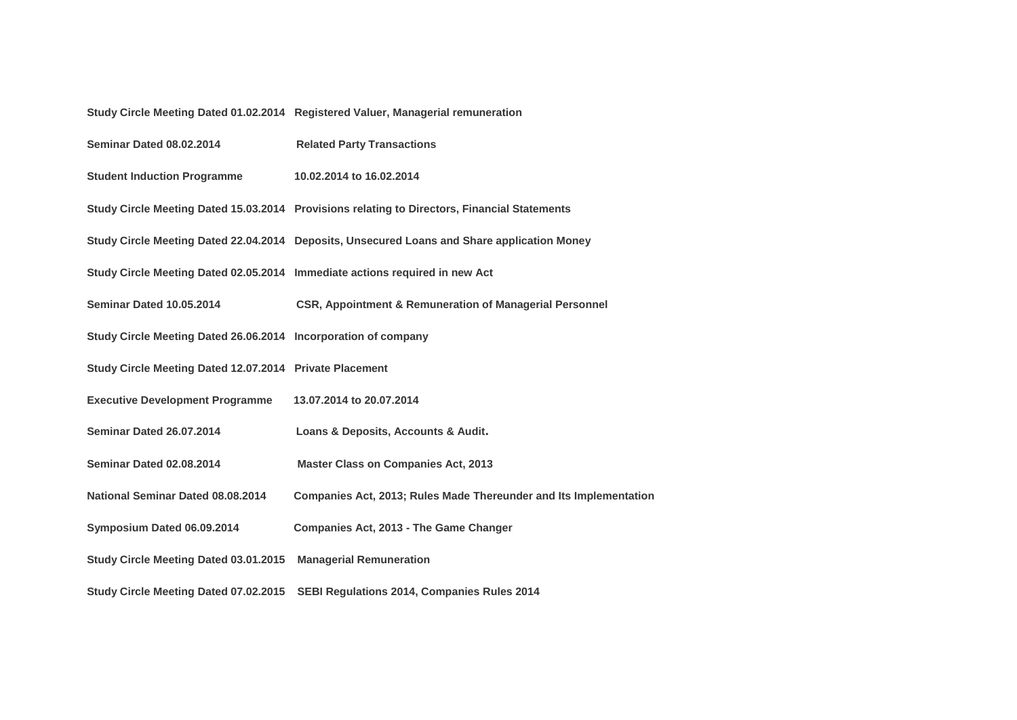## **Study Circle Meeting Dated 01.02.2014 Registered Valuer, Managerial remuneration**

| <b>Seminar Dated 08.02.2014</b>                                | <b>Related Party Transactions</b>                                                            |
|----------------------------------------------------------------|----------------------------------------------------------------------------------------------|
| <b>Student Induction Programme</b>                             | 10.02.2014 to 16.02.2014                                                                     |
|                                                                | Study Circle Meeting Dated 15.03.2014 Provisions relating to Directors, Financial Statements |
|                                                                | Study Circle Meeting Dated 22.04.2014 Deposits, Unsecured Loans and Share application Money  |
|                                                                | Study Circle Meeting Dated 02.05.2014 Immediate actions required in new Act                  |
| Seminar Dated 10.05.2014                                       | <b>CSR, Appointment &amp; Remuneration of Managerial Personnel</b>                           |
| Study Circle Meeting Dated 26.06.2014 Incorporation of company |                                                                                              |
| Study Circle Meeting Dated 12.07.2014 Private Placement        |                                                                                              |
| <b>Executive Development Programme</b>                         | 13.07.2014 to 20.07.2014                                                                     |
| Seminar Dated 26.07.2014                                       | Loans & Deposits, Accounts & Audit.                                                          |
| Seminar Dated 02.08.2014                                       | <b>Master Class on Companies Act, 2013</b>                                                   |
| National Seminar Dated 08.08.2014                              | Companies Act, 2013; Rules Made Thereunder and Its Implementation                            |
| Symposium Dated 06.09.2014                                     | Companies Act, 2013 - The Game Changer                                                       |
| Study Circle Meeting Dated 03.01.2015                          | <b>Managerial Remuneration</b>                                                               |
|                                                                | Study Circle Meeting Dated 07.02.2015 SEBI Regulations 2014, Companies Rules 2014            |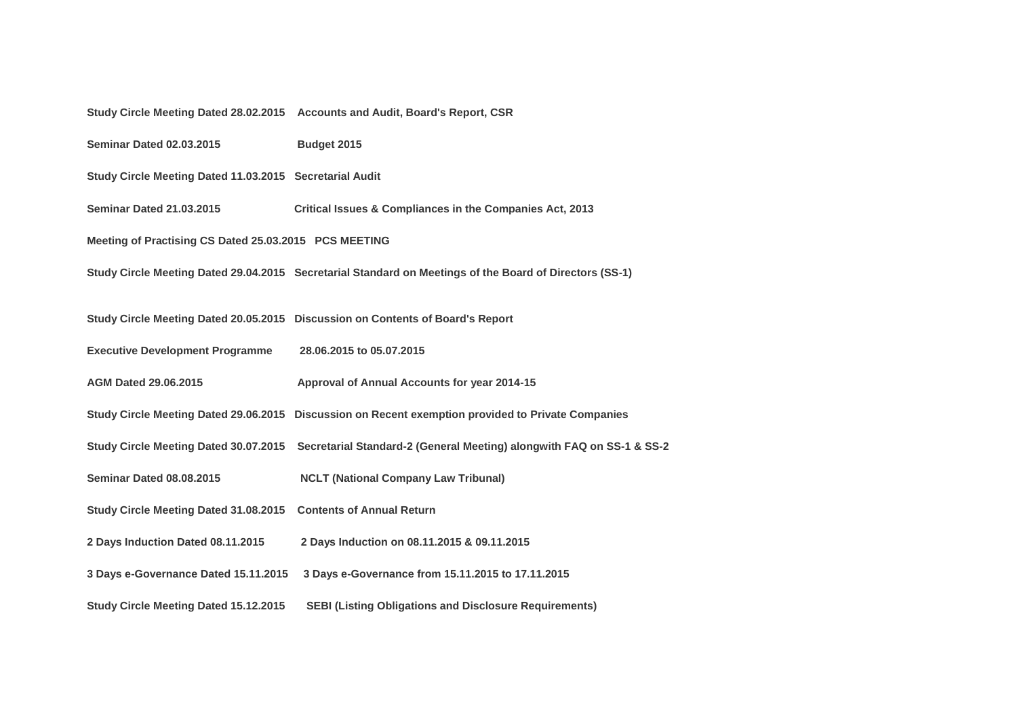|                                                         | Study Circle Meeting Dated 28.02.2015 Accounts and Audit, Board's Report, CSR                           |  |
|---------------------------------------------------------|---------------------------------------------------------------------------------------------------------|--|
| <b>Seminar Dated 02.03.2015</b>                         | Budget 2015                                                                                             |  |
| Study Circle Meeting Dated 11.03.2015 Secretarial Audit |                                                                                                         |  |
| <b>Seminar Dated 21.03.2015</b>                         | Critical Issues & Compliances in the Companies Act, 2013                                                |  |
| Meeting of Practising CS Dated 25.03.2015 PCS MEETING   |                                                                                                         |  |
|                                                         | Study Circle Meeting Dated 29.04.2015 Secretarial Standard on Meetings of the Board of Directors (SS-1) |  |
|                                                         |                                                                                                         |  |
|                                                         | Study Circle Meeting Dated 20.05.2015  Discussion on Contents of Board's Report                         |  |
| <b>Executive Development Programme</b>                  | 28.06.2015 to 05.07.2015                                                                                |  |
| <b>AGM Dated 29.06.2015</b>                             | Approval of Annual Accounts for year 2014-15                                                            |  |
| Study Circle Meeting Dated 29.06.2015                   | Discussion on Recent exemption provided to Private Companies                                            |  |
| Study Circle Meeting Dated 30.07.2015                   | Secretarial Standard-2 (General Meeting) alongwith FAQ on SS-1 & SS-2                                   |  |
| <b>Seminar Dated 08.08.2015</b>                         | <b>NCLT (National Company Law Tribunal)</b>                                                             |  |
| <b>Study Circle Meeting Dated 31.08.2015</b>            | <b>Contents of Annual Return</b>                                                                        |  |
| 2 Days Induction Dated 08.11.2015                       | 2 Days Induction on 08.11.2015 & 09.11.2015                                                             |  |
| 3 Days e-Governance Dated 15.11.2015                    | 3 Days e-Governance from 15.11.2015 to 17.11.2015                                                       |  |
| Study Circle Meeting Dated 15.12.2015                   | <b>SEBI (Listing Obligations and Disclosure Requirements)</b>                                           |  |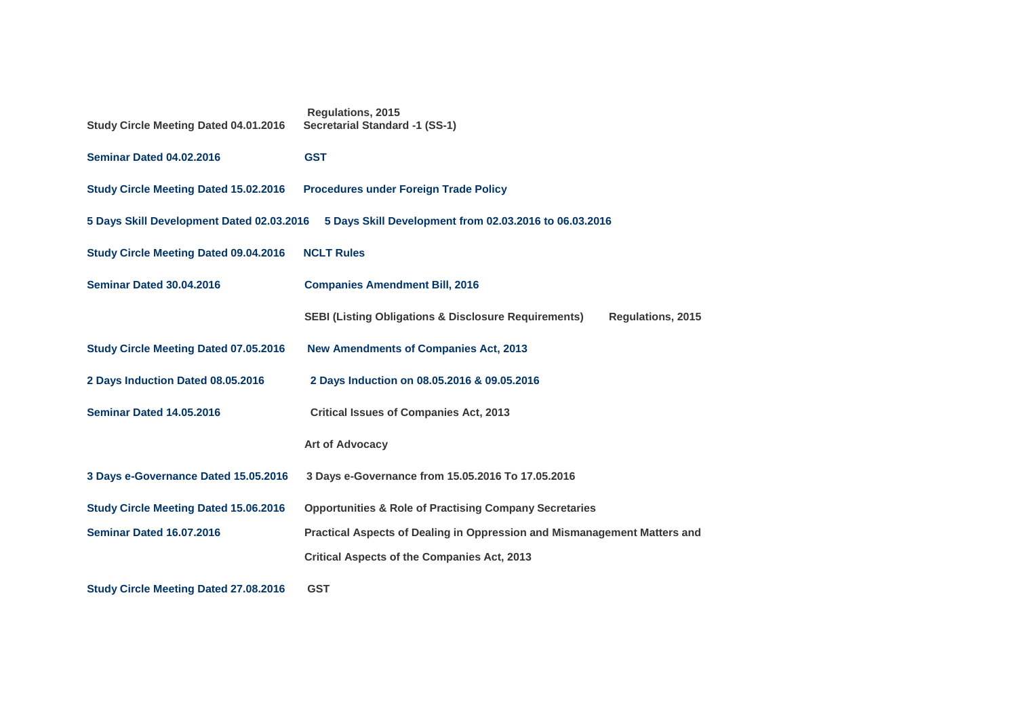| <b>Study Circle Meeting Dated 04.01.2016</b>                                                        | <b>Regulations, 2015</b><br><b>Secretarial Standard -1 (SS-1)</b>                           |  |
|-----------------------------------------------------------------------------------------------------|---------------------------------------------------------------------------------------------|--|
| <b>Seminar Dated 04.02.2016</b>                                                                     | <b>GST</b>                                                                                  |  |
| <b>Study Circle Meeting Dated 15.02.2016</b>                                                        | <b>Procedures under Foreign Trade Policy</b>                                                |  |
| 5 Days Skill Development Dated 02.03.2016<br>5 Days Skill Development from 02.03.2016 to 06.03.2016 |                                                                                             |  |
| <b>Study Circle Meeting Dated 09.04.2016</b>                                                        | <b>NCLT Rules</b>                                                                           |  |
| <b>Seminar Dated 30.04.2016</b>                                                                     | <b>Companies Amendment Bill, 2016</b>                                                       |  |
|                                                                                                     | <b>SEBI (Listing Obligations &amp; Disclosure Requirements)</b><br><b>Regulations, 2015</b> |  |
| <b>Study Circle Meeting Dated 07.05.2016</b>                                                        | <b>New Amendments of Companies Act, 2013</b>                                                |  |
| 2 Days Induction Dated 08.05.2016                                                                   | 2 Days Induction on 08.05.2016 & 09.05.2016                                                 |  |
| <b>Seminar Dated 14.05.2016</b>                                                                     | <b>Critical Issues of Companies Act, 2013</b>                                               |  |
|                                                                                                     | <b>Art of Advocacy</b>                                                                      |  |
| 3 Days e-Governance Dated 15.05.2016                                                                | 3 Days e-Governance from 15.05.2016 To 17.05.2016                                           |  |
| <b>Study Circle Meeting Dated 15.06.2016</b>                                                        | <b>Opportunities &amp; Role of Practising Company Secretaries</b>                           |  |
| <b>Seminar Dated 16.07.2016</b>                                                                     | Practical Aspects of Dealing in Oppression and Mismanagement Matters and                    |  |
|                                                                                                     | <b>Critical Aspects of the Companies Act, 2013</b>                                          |  |
| <b>Study Circle Meeting Dated 27.08.2016</b>                                                        | <b>GST</b>                                                                                  |  |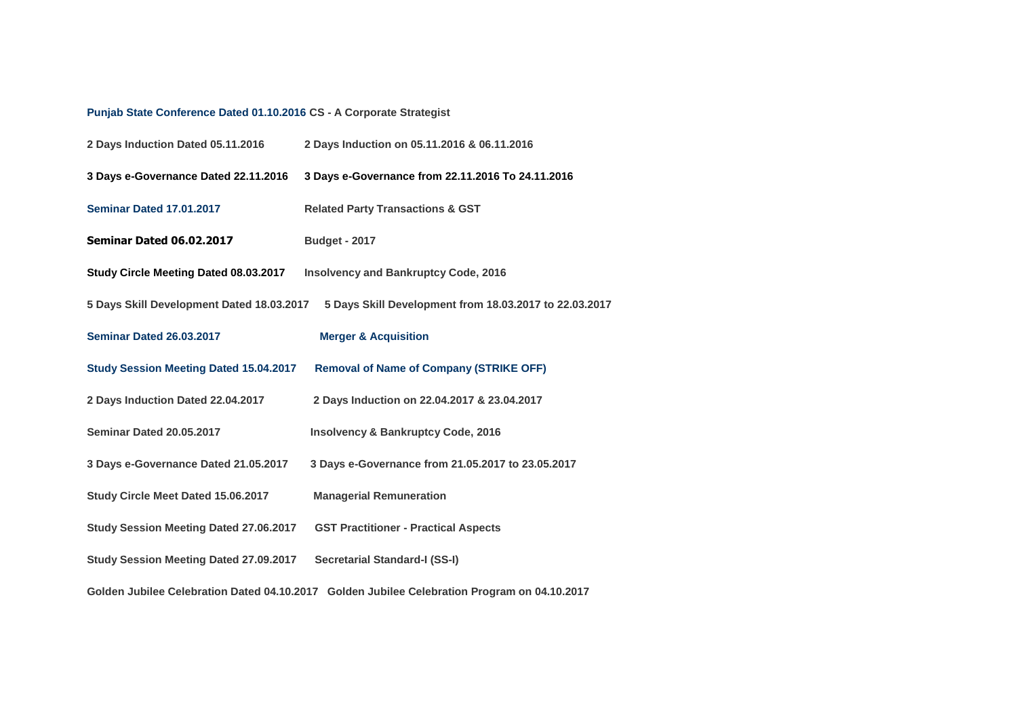## **[Punjab State Conference Dated 01.10.2016](http://www.icsi.edu/Portals/12/State%20Conference_Report_01Oct.16.pdf) CS - A Corporate Strategist**

| 2 Days Induction Dated 05.11.2016             | 2 Days Induction on 05.11.2016 & 06.11.2016                                                  |
|-----------------------------------------------|----------------------------------------------------------------------------------------------|
| 3 Days e-Governance Dated 22.11.2016          | 3 Days e-Governance from 22.11.2016 To 24.11.2016                                            |
| <b>Seminar Dated 17.01.2017</b>               | <b>Related Party Transactions &amp; GST</b>                                                  |
| <b>Seminar Dated 06.02.2017</b>               | <b>Budget - 2017</b>                                                                         |
| Study Circle Meeting Dated 08.03.2017         | <b>Insolvency and Bankruptcy Code, 2016</b>                                                  |
| 5 Days Skill Development Dated 18.03.2017     | 5 Days Skill Development from 18.03.2017 to 22.03.2017                                       |
| Seminar Dated 26.03.2017                      | <b>Merger &amp; Acquisition</b>                                                              |
| <b>Study Session Meeting Dated 15.04.2017</b> | <b>Removal of Name of Company (STRIKE OFF)</b>                                               |
| 2 Days Induction Dated 22.04.2017             | 2 Days Induction on 22.04.2017 & 23.04.2017                                                  |
| <b>Seminar Dated 20.05.2017</b>               | <b>Insolvency &amp; Bankruptcy Code, 2016</b>                                                |
| 3 Days e-Governance Dated 21.05.2017          | 3 Days e-Governance from 21.05.2017 to 23.05.2017                                            |
| Study Circle Meet Dated 15.06.2017            | <b>Managerial Remuneration</b>                                                               |
| <b>Study Session Meeting Dated 27.06.2017</b> | <b>GST Practitioner - Practical Aspects</b>                                                  |
| <b>Study Session Meeting Dated 27.09.2017</b> | <b>Secretarial Standard-I (SS-I)</b>                                                         |
|                                               | Golden Jubilee Celebration Dated 04.10.2017 Golden Jubilee Celebration Program on 04.10.2017 |